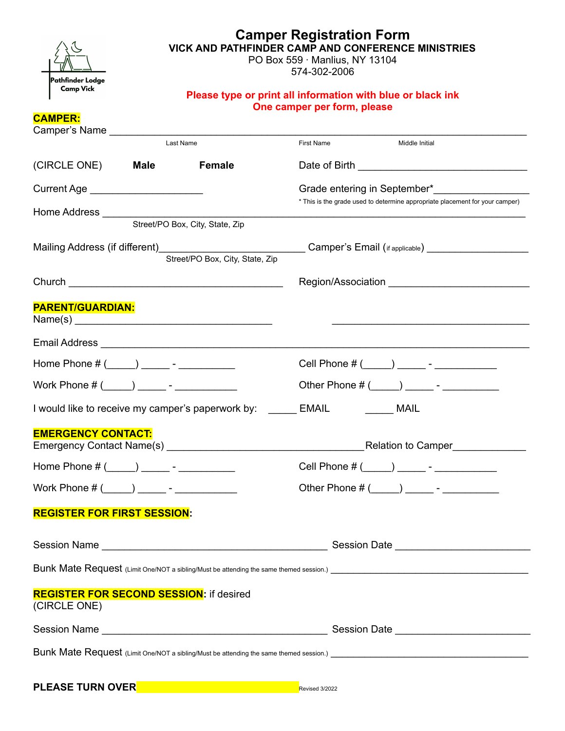| Pathfinder Lodge                                               |                                                                                            | <b>Camper Registration Form</b><br><b>VICK AND PATHFINDER CAMP AND CONFERENCE MINISTRIES</b><br>PO Box 559 · Manlius, NY 13104<br>574-302-2006 |                                                                |                                                                              |  |  |
|----------------------------------------------------------------|--------------------------------------------------------------------------------------------|------------------------------------------------------------------------------------------------------------------------------------------------|----------------------------------------------------------------|------------------------------------------------------------------------------|--|--|
| <b>Camp Vick</b>                                               | Please type or print all information with blue or black ink<br>One camper per form, please |                                                                                                                                                |                                                                |                                                                              |  |  |
| <b>CAMPER:</b>                                                 |                                                                                            |                                                                                                                                                |                                                                |                                                                              |  |  |
|                                                                |                                                                                            | Last Name                                                                                                                                      | <b>First Name</b>                                              | Middle Initial                                                               |  |  |
| (CIRCLE ONE)                                                   | <b>Male</b>                                                                                | <b>Female</b>                                                                                                                                  |                                                                |                                                                              |  |  |
| Current Age ______________________                             |                                                                                            |                                                                                                                                                |                                                                | Grade entering in September*                                                 |  |  |
|                                                                |                                                                                            |                                                                                                                                                |                                                                | * This is the grade used to determine appropriate placement for your camper) |  |  |
|                                                                |                                                                                            | Street/PO Box, City, State, Zip                                                                                                                |                                                                |                                                                              |  |  |
|                                                                |                                                                                            |                                                                                                                                                |                                                                | Region/Association <b>Example 2018</b>                                       |  |  |
| <b>PARENT/GUARDIAN:</b><br>Name(s)                             |                                                                                            |                                                                                                                                                |                                                                |                                                                              |  |  |
|                                                                |                                                                                            |                                                                                                                                                |                                                                |                                                                              |  |  |
| Home Phone # (_____) _______ - ____________                    |                                                                                            |                                                                                                                                                |                                                                | Cell Phone # (_____) _______ - _____________                                 |  |  |
|                                                                |                                                                                            |                                                                                                                                                |                                                                |                                                                              |  |  |
|                                                                |                                                                                            |                                                                                                                                                | I would like to receive my camper's paperwork by: ______ EMAIL |                                                                              |  |  |
| <b>EMERGENCY CONTACT:</b>                                      |                                                                                            |                                                                                                                                                |                                                                | Relation to Camper                                                           |  |  |
| Home Phone # (_____) _______ - ____________                    |                                                                                            |                                                                                                                                                |                                                                | Cell Phone # (_____) _______ - _____________                                 |  |  |
|                                                                |                                                                                            |                                                                                                                                                |                                                                |                                                                              |  |  |
| <b>REGISTER FOR FIRST SESSION:</b>                             |                                                                                            |                                                                                                                                                |                                                                |                                                                              |  |  |
|                                                                |                                                                                            |                                                                                                                                                |                                                                |                                                                              |  |  |
|                                                                |                                                                                            |                                                                                                                                                |                                                                |                                                                              |  |  |
| <b>REGISTER FOR SECOND SESSION: if desired</b><br>(CIRCLE ONE) |                                                                                            |                                                                                                                                                |                                                                |                                                                              |  |  |
|                                                                |                                                                                            |                                                                                                                                                |                                                                |                                                                              |  |  |
|                                                                |                                                                                            |                                                                                                                                                |                                                                |                                                                              |  |  |

| <b>PLEASE TURN OVER</b> |  |  |
|-------------------------|--|--|
|-------------------------|--|--|